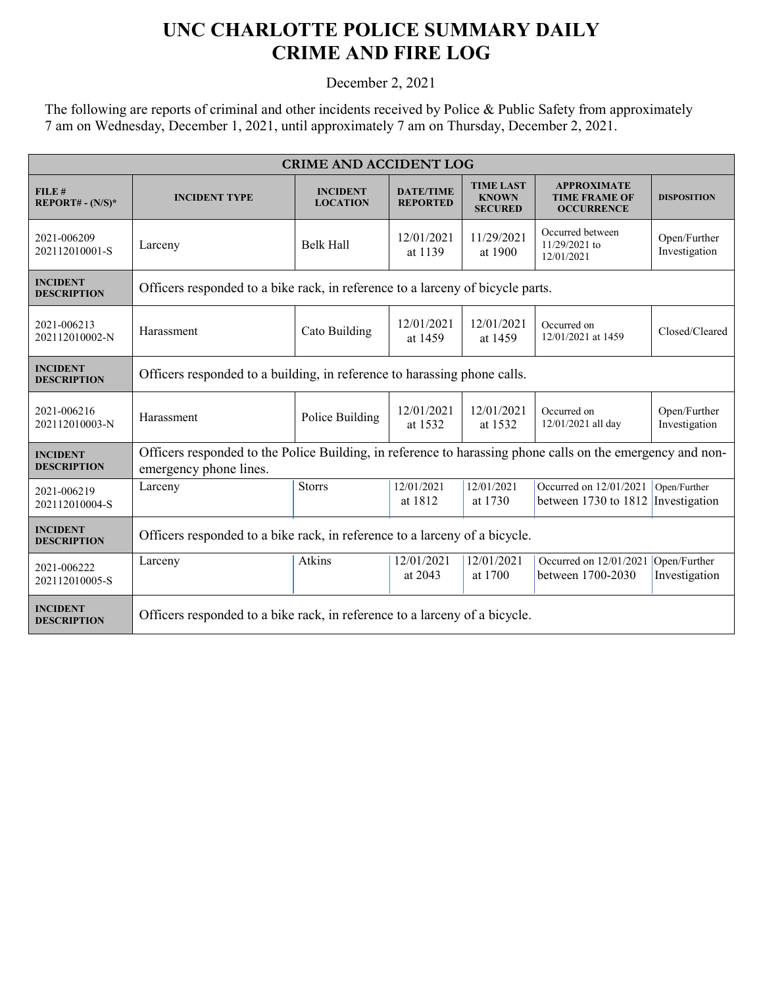## **UNC CHARLOTTE POLICE SUMMARY DAILY CRIME AND FIRE LOG**

December 2, 2021

The following are reports of criminal and other incidents received by Police & Public Safety from approximately 7 am on Wednesday, December 1, 2021, until approximately 7 am on Thursday, December 2, 2021.

| <b>CRIME AND ACCIDENT LOG</b>         |                                                                                                                                      |                                    |                                     |                                                    |                                                                 |                               |  |
|---------------------------------------|--------------------------------------------------------------------------------------------------------------------------------------|------------------------------------|-------------------------------------|----------------------------------------------------|-----------------------------------------------------------------|-------------------------------|--|
| FILE#<br>$REPORT# - (N/S)*$           | <b>INCIDENT TYPE</b>                                                                                                                 | <b>INCIDENT</b><br><b>LOCATION</b> | <b>DATE/TIME</b><br><b>REPORTED</b> | <b>TIME LAST</b><br><b>KNOWN</b><br><b>SECURED</b> | <b>APPROXIMATE</b><br><b>TIME FRAME OF</b><br><b>OCCURRENCE</b> | <b>DISPOSITION</b>            |  |
| 2021-006209<br>202112010001-S         | Larceny                                                                                                                              | <b>Belk Hall</b>                   | 12/01/2021<br>at 1139               | 11/29/2021<br>at 1900                              | Occurred between<br>11/29/2021 to<br>12/01/2021                 | Open/Further<br>Investigation |  |
| <b>INCIDENT</b><br><b>DESCRIPTION</b> | Officers responded to a bike rack, in reference to a larceny of bicycle parts.                                                       |                                    |                                     |                                                    |                                                                 |                               |  |
| 2021-006213<br>202112010002-N         | Harassment                                                                                                                           | Cato Building                      | 12/01/2021<br>at 1459               | 12/01/2021<br>at 1459                              | Occurred on<br>12/01/2021 at 1459                               | Closed/Cleared                |  |
| <b>INCIDENT</b><br><b>DESCRIPTION</b> | Officers responded to a building, in reference to harassing phone calls.                                                             |                                    |                                     |                                                    |                                                                 |                               |  |
| 2021-006216<br>202112010003-N         | Harassment                                                                                                                           | Police Building                    | 12/01/2021<br>at 1532               | 12/01/2021<br>at 1532                              | Occurred on<br>12/01/2021 all day                               | Open/Further<br>Investigation |  |
| <b>INCIDENT</b><br><b>DESCRIPTION</b> | Officers responded to the Police Building, in reference to harassing phone calls on the emergency and non-<br>emergency phone lines. |                                    |                                     |                                                    |                                                                 |                               |  |
| 2021-006219<br>202112010004-S         | Larceny                                                                                                                              | <b>Storrs</b>                      | 12/01/2021<br>at 1812               | 12/01/2021<br>at 1730                              | Occurred on 12/01/2021<br>between 1730 to 1812                  | Open/Further<br>Investigation |  |
| <b>INCIDENT</b><br><b>DESCRIPTION</b> | Officers responded to a bike rack, in reference to a larceny of a bicycle.                                                           |                                    |                                     |                                                    |                                                                 |                               |  |
| 2021-006222<br>202112010005-S         | Larceny                                                                                                                              | Atkins                             | 12/01/2021<br>at 2043               | 12/01/2021<br>at 1700                              | Occurred on 12/01/2021 Open/Further<br>between 1700-2030        | Investigation                 |  |
| <b>INCIDENT</b><br><b>DESCRIPTION</b> | Officers responded to a bike rack, in reference to a larceny of a bicycle.                                                           |                                    |                                     |                                                    |                                                                 |                               |  |